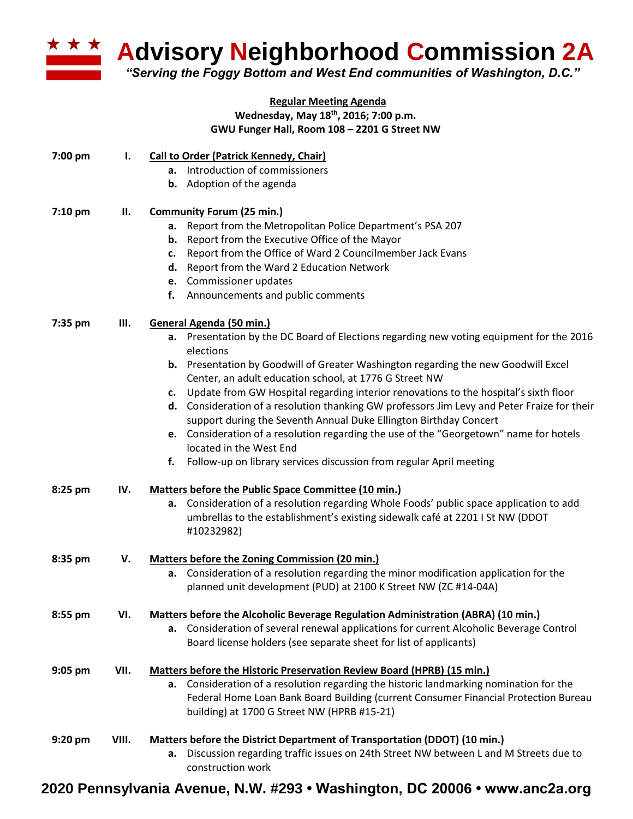

**Advisory Neighborhood Commission 2A** 

*"Serving the Foggy Bottom and West End communities of Washington, D.C."*

## **Regular Meeting Agenda Wednesday, May 18th, 2016; 7:00 p.m. GWU Funger Hall, Room 108 – 2201 G Street NW**

| 7:00 pm   | I.    | <b>Call to Order (Patrick Kennedy, Chair)</b><br>a. Introduction of commissioners<br><b>b.</b> Adoption of the agenda                                                                                                                                                                                                                                                                                                                                                                                                                                                                                                                                                                                                                                     |
|-----------|-------|-----------------------------------------------------------------------------------------------------------------------------------------------------------------------------------------------------------------------------------------------------------------------------------------------------------------------------------------------------------------------------------------------------------------------------------------------------------------------------------------------------------------------------------------------------------------------------------------------------------------------------------------------------------------------------------------------------------------------------------------------------------|
| 7:10 pm   | П.    | <b>Community Forum (25 min.)</b><br>Report from the Metropolitan Police Department's PSA 207<br>a.<br>Report from the Executive Office of the Mayor<br>b.<br>Report from the Office of Ward 2 Councilmember Jack Evans<br>c.<br>Report from the Ward 2 Education Network<br>d.<br>e. Commissioner updates<br>Announcements and public comments<br>f.                                                                                                                                                                                                                                                                                                                                                                                                      |
| 7:35 pm   | Ш.    | General Agenda (50 min.)<br>a. Presentation by the DC Board of Elections regarding new voting equipment for the 2016<br>elections<br><b>b.</b> Presentation by Goodwill of Greater Washington regarding the new Goodwill Excel<br>Center, an adult education school, at 1776 G Street NW<br>c. Update from GW Hospital regarding interior renovations to the hospital's sixth floor<br>d. Consideration of a resolution thanking GW professors Jim Levy and Peter Fraize for their<br>support during the Seventh Annual Duke Ellington Birthday Concert<br>e. Consideration of a resolution regarding the use of the "Georgetown" name for hotels<br>located in the West End<br>Follow-up on library services discussion from regular April meeting<br>f. |
| 8:25 pm   | IV.   | Matters before the Public Space Committee (10 min.)<br>a. Consideration of a resolution regarding Whole Foods' public space application to add<br>umbrellas to the establishment's existing sidewalk café at 2201 I St NW (DDOT<br>#10232982)                                                                                                                                                                                                                                                                                                                                                                                                                                                                                                             |
| 8:35 pm   | V.    | <b>Matters before the Zoning Commission (20 min.)</b><br>a. Consideration of a resolution regarding the minor modification application for the<br>planned unit development (PUD) at 2100 K Street NW (ZC #14-04A)                                                                                                                                                                                                                                                                                                                                                                                                                                                                                                                                         |
| 8:55 pm   | VI.   | <b>Matters before the Alcoholic Beverage Regulation Administration (ABRA) (10 min.)</b><br>a. Consideration of several renewal applications for current Alcoholic Beverage Control<br>Board license holders (see separate sheet for list of applicants)                                                                                                                                                                                                                                                                                                                                                                                                                                                                                                   |
| $9:05$ pm | VII.  | <b>Matters before the Historic Preservation Review Board (HPRB) (15 min.)</b><br>a. Consideration of a resolution regarding the historic landmarking nomination for the<br>Federal Home Loan Bank Board Building (current Consumer Financial Protection Bureau<br>building) at 1700 G Street NW (HPRB #15-21)                                                                                                                                                                                                                                                                                                                                                                                                                                             |
| 9:20 pm   | VIII. | Matters before the District Department of Transportation (DDOT) (10 min.)<br>Discussion regarding traffic issues on 24th Street NW between L and M Streets due to<br>а.<br>construction work                                                                                                                                                                                                                                                                                                                                                                                                                                                                                                                                                              |

**2020 Pennsylvania Avenue, N.W. #293 • Washington, DC 20006 • www.anc2a.org**